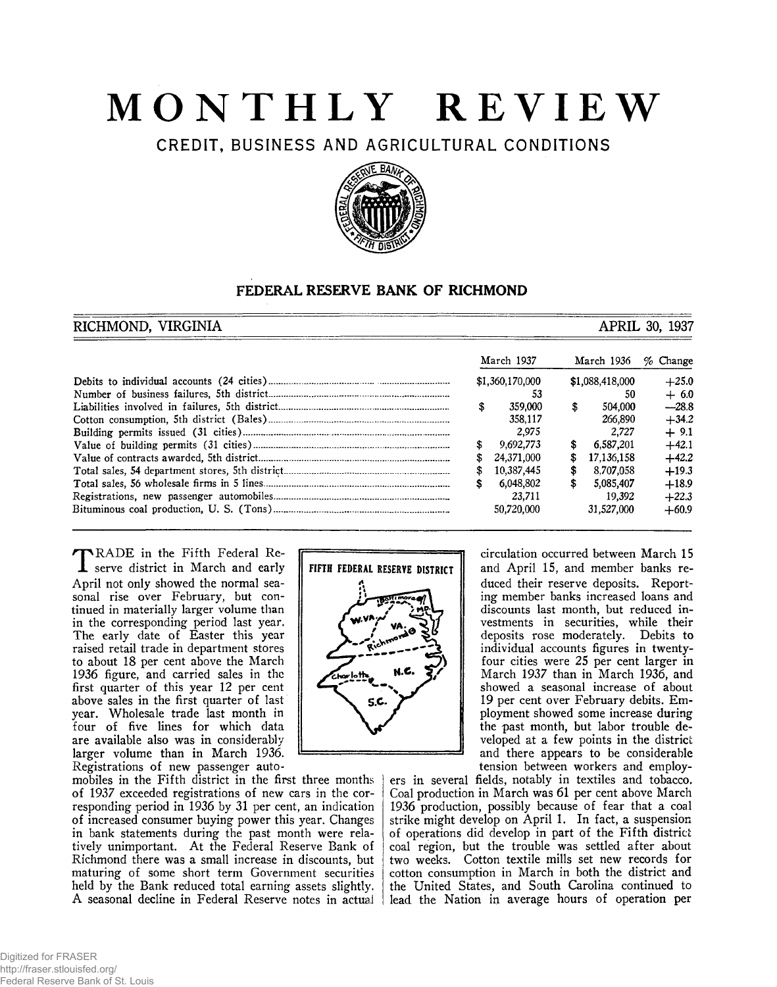# **MONTHLY REVIEW**

**CREDIT, BUSINESS AND AGRICULTURAL CONDITIONS**



# **FEDERAL RESERVE BANK OF RICHMOND**

# **RICHMOND, VIRGINIA** and the set of the set of the set of the set of the set of the set of the set of the set of the set of the set of the set of the set of the set of the set of the set of the set of the set of the set of

|  | March 1937      |    | March 1936      | $\%$ Change |
|--|-----------------|----|-----------------|-------------|
|  | \$1,360,170,000 |    | \$1,088,418,000 | $+25.0$     |
|  |                 |    | 50              | $+6.0$      |
|  | 359,000         | \$ | 504,000         | $-28.8$     |
|  | 358,117         |    | 266.890         | $+34.2$     |
|  | 2.975           |    | 2.727           | $+9.1$      |
|  | 9.692.773       | s  | 6,587,201       | $+42.1$     |
|  | 24.371.000      | S  | 17,136,158      | $+42.2$     |
|  | 10,387,445      | s  | 8.707.058       | $+19.3$     |
|  | 6.048.802       | S  | 5,085,407       | $+18.9$     |
|  | 23.711          |    | 19.392          | $+22.3$     |
|  | 50.720.000      |    | 31,527,000      | $+60.9$     |

T RADE in the Fifth Federal Re-**L** serve district in March and early April not only showed the normal seasonal rise over February, but continued in materially larger volume than in the corresponding period last year. The early date of Easter this year raised retail trade in department stores to about 18 per cent above the March 1936 figure, and carried sales in the first quarter of this year 12 per cent above sales in the first quarter of last year. Wholesale trade last month in four of five lines for which data are available also was in considerably larger volume than in March 1936. Registrations of new passenger auto-

mobiles in the Fifth district in the first three months of 1937 exceeded registrations of new cars in the corresponding period in 1936 by 31 per cent, an indication of increased consumer buying power this year. Changes in bank statements during the past month were relatively unimportant. At the Federal Reserve Bank of Richmond there was a small increase in discounts, but maturing of some short term Government securities held by the Bank reduced total earning assets slightly. A seasonal decline in Federal Reserve notes in actual



circulation occurred between March 15 and April 15, and member banks reduced their reserve deposits. Reporting member banks increased loans and discounts last month, but reduced investments in securities, while their deposits rose moderately. Debits to individual accounts figures in twentyfour cities were 25 per cent larger in March 1937 than in March 1936, and showed a seasonal increase of about 19 per cent over February debits. Employment showed some increase during the past month, but labor trouble developed at a few points in the district and there appears to be considerable tension between workers and employ-

ers in several fields, notably in textiles and tobacco. Coal production in March was 61 per cent above March 1936 production, possibly because of fear that a coal strike might develop on April 1. In fact, a suspension of operations did develop in part of the Fifth district coal region, but the trouble was settled after about two weeks. Cotton textile mills set new records for cotton consumption in March in both the district and the United States, and South Carolina continued to lead the Nation in average hours of operation per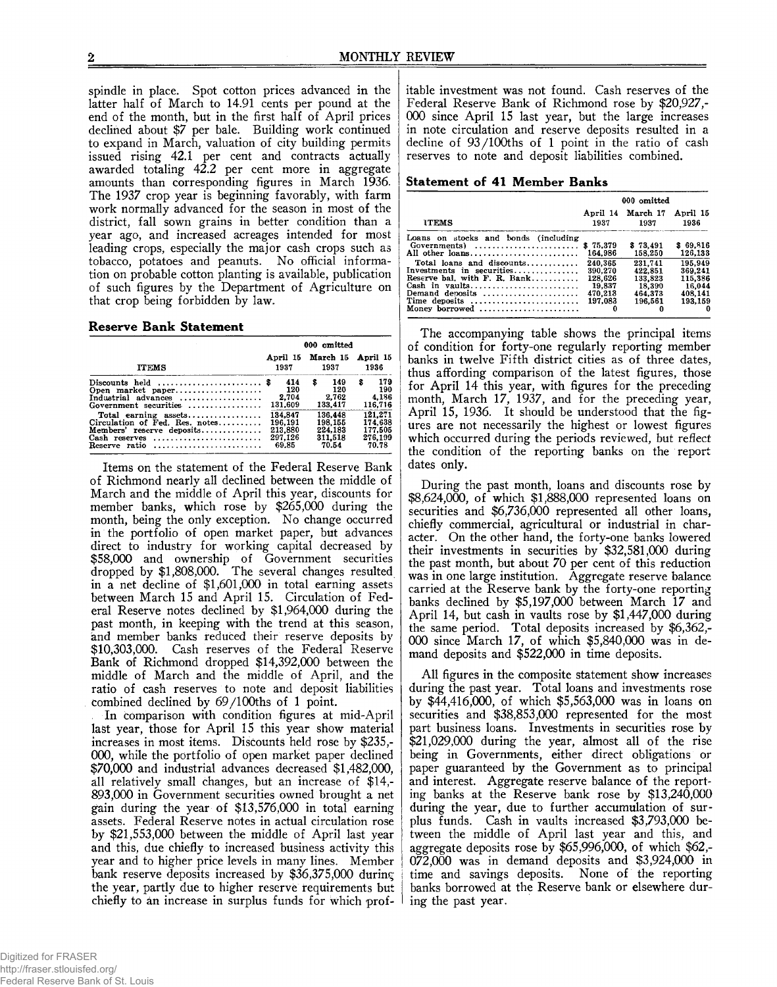spindle in place. Spot cotton prices advanced in the latter half of March to 14.91 cents per pound at the end of the month, but in the first half of April prices declined about \$7 per bale. Building work continued to expand in March, valuation of city building permits issued rising 42.1 per cent and contracts actually awarded totaling 42.2 per cent more in aggregate amounts than corresponding figures in March 1936. The 1937 crop year is beginning favorably, with farm work normally advanced for the season in most of the district, fall sown grains in better condition than a year ago, and increased acreages intended for most leading crops, especially the major cash crops such as tobacco, potatoes and peanuts. No official information on probable cotton planting is available, publication of such figures by the Department of Agriculture on that crop being forbidden by law.

#### **Reserve Bank Statement**

|                                                                                                                              | 000 omitted                                       |                                                   |                                                   |  |  |  |  |  |
|------------------------------------------------------------------------------------------------------------------------------|---------------------------------------------------|---------------------------------------------------|---------------------------------------------------|--|--|--|--|--|
| <b>ITEMS</b>                                                                                                                 | 1937                                              | April 15 March 15<br>1937                         | April 15<br>1936                                  |  |  |  |  |  |
| Discounts held $\ldots, \ldots, \ldots, \ldots, \ldots$<br>Open market paper<br>Industrial advances<br>Government securities | 414<br>120<br>2.704<br>131,609                    | 149<br>\$<br>120<br>2.762<br>133,417              | 179<br>s<br>190<br>4.186<br>116,716               |  |  |  |  |  |
| Circulation of Fed. Res. notes<br>Members' reserve deposits<br>Cash reserves<br>Reserve ratio                                | 134.847<br>196.191<br>213,880<br>297,126<br>69.85 | 136.448<br>198.155<br>224,183<br>311,518<br>70.54 | 121.271<br>174.638<br>177.505<br>276,199<br>70.78 |  |  |  |  |  |

Items on the statement of the Federal Reserve Bank of Richmond nearly all declined between the middle of March and the middle of April this year, discounts for member banks, which rose by \$265,000 during the month, being the only exception. No change occurred in the portfolio of open market paper, but advances direct to industry for working capital decreased by \$58,000 and ownership of Government securities dropped by \$1,808,000. The several changes resulted in a net decline of \$1,601,000 in total earning assets between March 15 and April 15. Circulation of Federal Reserve notes declined by \$1,964,000 during the past month, in keeping with the trend at this season, and member banks reduced their reserve deposits by \$10,303,000. Cash reserves of the Federal Reserve Bank of Richmond dropped \$14,392,000 between the middle of March and the middle of April, and the ratio of cash reserves to note and deposit liabilities combined declined by 69/100ths of 1 point.

In comparison with condition figures at mid-April last year, those for April 15 this year show material increases in most items. Discounts held rose by \$235,- 000, while the portfolio of open market paper declined \$70,000 and industrial advances decreased \$1,482,000, all relatively small changes, but an increase of \$14,- 893,000 in Government securities owned brought a net gain during the year of \$13,576,000 in total earning assets. Federal Reserve notes in actual circulation rose by \$21,553,000 between the middle of April last year and this, due chiefly to increased business activity this year and to higher price levels in many lines. Member bank reserve deposits increased by \$36,375,000 during the year, partly due to higher reserve requirements but chiefly to an increase in surplus funds for which prof-

itable investment was not found. Cash reserves of the Federal Reserve Bank of Richmond rose by \$20,927,- 000 since April 15 last year, but the large increases in note circulation and reserve deposits resulted in a decline of 93/100ths of 1 point in the ratio of cash reserves to note and deposit liabilities combined.

#### **Statement of 41 Member Banks**

|                                                                                                                                                                                                                                              | 000 omitted                                                                               |                                                                                           |                                                                                      |  |  |  |
|----------------------------------------------------------------------------------------------------------------------------------------------------------------------------------------------------------------------------------------------|-------------------------------------------------------------------------------------------|-------------------------------------------------------------------------------------------|--------------------------------------------------------------------------------------|--|--|--|
| <b>ITEMS</b>                                                                                                                                                                                                                                 | 1937                                                                                      | April 14 March 17<br>1937                                                                 | April 15<br>1936                                                                     |  |  |  |
| Loans on stocks and bonds (including<br>$Goverments)$<br>All other loans<br>Total loans and discounts<br>Investments in securities<br>Reserve bal, with $F. R. Bank$<br>Cash in vaults<br>Demand denosits<br>Time deposits<br>Money borrowed | \$75.379<br>164,986<br>240.365<br>390.270<br>128.626<br>19.837<br>470.213<br>197.083<br>o | \$73.491<br>158.250<br>231.741<br>422,851<br>133.823<br>18.390<br>464.373<br>196.561<br>0 | \$69,816<br>126,133<br>195.949<br>369.241<br>115.386<br>16.044<br>408.141<br>193.159 |  |  |  |

The accompanying table shows the principal items of condition for forty-one regularly reporting member banks in twelve Fifth district cities as of three dates, thus affording comparison of the latest figures, those for April 14 this year, with figures for the preceding month, March 17, 1937, and for the preceding year, April 15, 1936. It should be understood that the figures are not necessarily the highest or lowest figures which occurred during the periods reviewed, but reflect the condition of the reporting banks on the report dates only.

During the past month, loans and discounts rose by \$8,624,000, of which \$1,888,000 represented loans on securities and \$6,736,000 represented all other loans, chiefly commercial, agricultural or industrial in character. On the other hand, the forty-one banks lowered their investments in securities by \$32,581,000 during the past month, but about 70 per cent of this reduction was in one large institution. Aggregate reserve balance carried at the Reserve bank by the forty-one reporting banks declined by \$5,197,000 between March 17 and April 14, but cash in vaults rose by \$1,447,000 during the same period. Total deposits increased by \$6,362,- 000 since March 17, of which \$5,840,000 was in demand deposits and \$522,000 in time deposits.

All figures in the composite statement show increases during the past year. Total loans and investments rose by \$44,416,000, of which \$5,563,000 was in loans on securities and \$38,853,000 represented for the most part business loans. Investments in securities rose by \$21,029,000 during the year, almost all of the rise being in Governments, either direct obligations or paper guaranteed by the Government as to principal and interest. Aggregate reserve balance of the reporting banks at the Reserve bank rose by \$13,240,000 during the year, due to further accumulation of surplus funds. Cash in vaults increased \$3,793,000 between the middle of April last year and this, and aggregate deposits rose by \$65,996,000, of which \$62,- 072,000 was in demand deposits and \$3,924,000 in time and savings deposits. None of the reporting banks borrowed at the Reserve bank or elsewhere during the past year.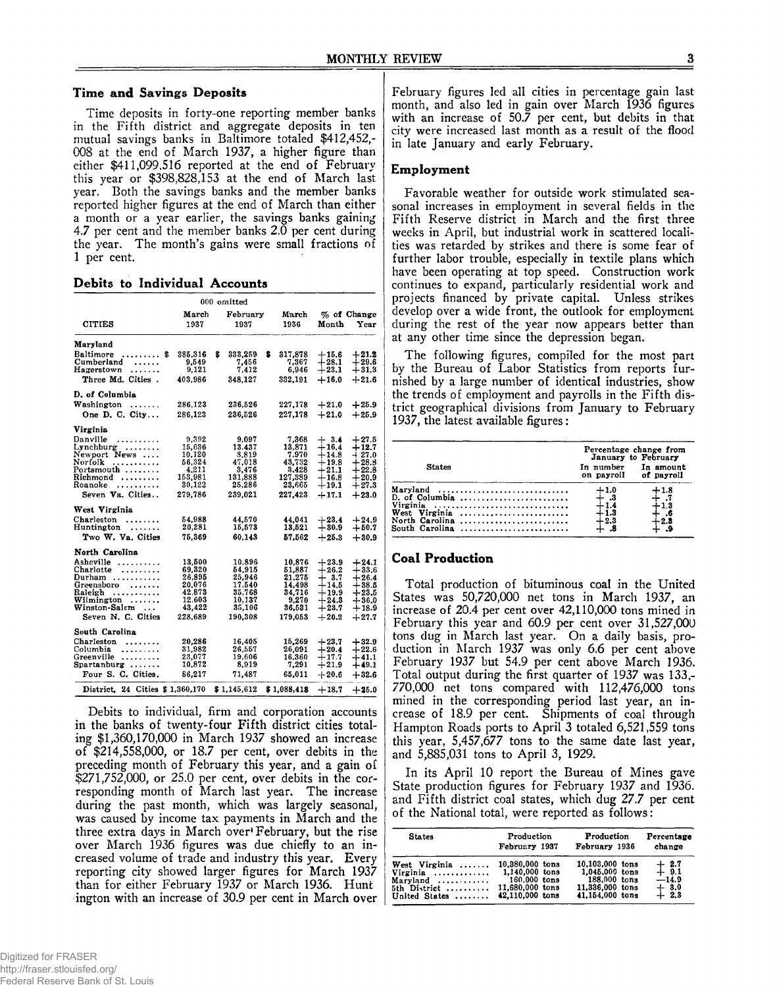# **Time and Savings Deposits**

Time deposits in forty-one reporting member banks in the Fifth district and aggregate deposits in ten mutual savings banks in Baltimore totaled \$412,452,- 008 at the end of March 1937, a higher figure than either \$411,099,516 reported at the end of February this year or \$398,828,153 at the end of March last year. Both the savings banks and the member banks reported higher figures at the end of March than either a month or a year earlier, the savings banks gaining 4.7 per cent and the member banks  $2.\overline{0}$  per cent during the year. The month's gains were small fractions of 1 per cent.

# **Debits to Individual Accounts**

|                                 |                  |   | 000 omitted       |   |                   |                                   |                     |
|---------------------------------|------------------|---|-------------------|---|-------------------|-----------------------------------|---------------------|
| <b>CITIES</b>                   | March<br>1937    |   | February<br>1937  |   | March<br>1936     | Month                             | % of Change<br>Year |
| Maryland                        |                  |   |                   |   |                   |                                   |                     |
| Baltimore<br>. \$               | 385.316          | s | 333.259           | s | 317.878           | $+15.6$                           | $+21.2$             |
| Cumberland<br>.                 | 9,549            |   | 7,456             |   | 7,367             | $+28.1$                           | $+29.6$             |
| Hagerstown                      | 9,121            |   | 7.412             |   | 6,946             | $+23.1$                           | $+31.3$             |
| Three Md. Cities.               | 403,986          |   | 348.127           |   | 332.191           | $+16.0$                           | $+21.6$             |
| D. of Columbia                  |                  |   |                   |   |                   |                                   |                     |
| Washington<br>.                 | 286.123          |   | 236.526           |   | 227,178           | $+21.0$                           | $+25.9$             |
| One D. C. City                  | 286.123          |   | 236,526           |   | 227,178           | $+21.0$                           | $+25.9$             |
| Virginia                        |                  |   |                   |   |                   |                                   |                     |
| Danville<br>.                   | 9.392            |   | 9.097             |   | 7.368             |                                   | $+27.5$             |
| $Lynchburg$                     | 15,636           |   | 13.437            |   | 13.871            | $\mathbf{\dot{+}}\ _{16.4}^{3.4}$ | $+12.7$             |
| Newport News                    | 10,120           |   | 3,819             |   | 7.970             | $+14.8$                           | $+27.0$             |
| Norfolk<br>.                    | 56.324           |   | 47.018            |   | 43,732            | $+19.8$                           | $+28.8$             |
| Portsmouth                      | 4,211<br>153,981 |   | 3.476             |   | 3.428             | $+21.1$<br>$+16.8$                | $+22.8$<br>$+20.9$  |
| Richmond<br>Roanoke<br>.        | 30.122           |   | 131,888<br>25.286 |   | 127,389<br>23.665 | $+19.1$                           | $+27.3$             |
| Seven Va. Cities                | 279.786          |   | 239.021           |   | 227.423           | $+17.1$                           | $+23.0$             |
| West Virginia                   |                  |   |                   |   |                   |                                   |                     |
| Charleston<br>.                 | 54,988           |   | 44.570            |   | 44.041            | $+23.4$                           | $+24.9$             |
| Huntington<br>$\sim$            | 20.281           |   | 15,573            |   | 13.521            | $+30.9$                           | $+50.7$             |
| Two W. Va. Cities               | 75.369           |   | 60.143            |   | 57.562            | $-25.3$                           | $+30.9$             |
| North Carolina                  |                  |   |                   |   |                   |                                   |                     |
| Asheville                       | 13.500           |   | 10.896            |   | 10.876            | $+23.9$                           | $+24.1$             |
| Charlotte                       | 69.320           |   | 54.915            |   | 51.887            | $+26.2$                           | $+33.6$             |
| Durham                          | 26.895           |   | 25.946            |   | 21.275            | $+$ 3.7 $\,$                      | $+26.4$             |
| Greensboro                      | 20,076           |   | 17.540            |   | 14.498            | $+14.5$                           | $+38.5$             |
| Raleigh<br>.                    | 42.873           |   | 35.768            |   | 34.716            | $+19.9$                           | $+23.5$             |
| Wilmington<br>.                 | 12.603           |   | 10.137            |   | 9,270             | $+24.3$                           | $+36.0$             |
| Winston-Salem                   | 43.422           |   | 35,106            |   | 36.531            | $+23.7$                           | $+18.9$             |
| Seven N. C. Cities              | 228.689          |   | 190.308           |   | 179.053           | $+20.2$                           | $+27.7$             |
| South Carolina                  |                  |   |                   |   |                   |                                   |                     |
| Charleston<br>.                 | 20,286           |   | 16.405            |   | 15,269            | $+23.7$                           | $+32.9$             |
| Columbia<br>.                   | 31.982           |   | 26.557            |   | 26.091            | $+20.4$                           | $+22.6$             |
| Greenville                      | 23.077<br>10,872 |   | 19,606<br>8,919   |   | 16,360            | $+17.7$<br>$+21.9$                | $+41.1$             |
| Spartanburg $\ldots$            |                  |   |                   |   | 7.291             |                                   | $+49.1$             |
| Four S. C. Cities.              | 86.217           |   | 71.487            |   | 65.011            | $+20.6$                           | $+32.6$             |
| District, 24 Cities \$1,360,170 |                  |   | \$1,145,612       |   | \$1.088.418       | $+18.7$                           | $+25.0$             |

Debits to individual, firm and corporation accounts in the banks of twenty-four Fifth district cities totaling \$1,360,170,000 in March 1937 showed an increase of \$214,558,000, or 18.7 per cent, over debits in the preceding month of February this year, and a gain of \$271,752,000, or 25.0 per cent, over debits in the corresponding month of March last year. The increase during the past month, which was largely seasonal, was caused by income tax payments in March and the three extra days in March over February, but the rise over March 1936 figures was due chiefly to an increased volume of trade and industry this year. Every reporting city showed larger figures for March 1937 than for either February 1937 or March 1936. Hunt ington with an increase of 30.9 per cent in March over February figures led all cities in percentage gain last month, and also led in gain over March 1936 figures with an increase of 50.7 per cent, but debits in that city were increased last month as a result of the flood in late January and early February.

#### **Employment**

Favorable weather for outside work stimulated seasonal increases in employment in several fields in the Fifth Reserve district in March and the first three weeks in April, but industrial work in scattered localities was retarded by strikes and there is some fear of further labor trouble, especially in textile plans which have been operating at top speed. Construction work continues to expand, particularly residential work and projects financed by private capital. Unless strikes develop over a wide front, the outlook for employment during the rest of the year now appears better than at any other time since the depression began.

The following figures, compiled for the most part by the Bureau of Labor Statistics from reports furnished by a large number of identical industries, show the trends of employment and payrolls in the Fifth district geographical divisions from January to February 1937, the latest available figures:

| <b>States</b>                                                                               | Percentage change from<br>January to February<br>In number<br>In amount<br>of payroll<br>on payroll |                       |  |
|---------------------------------------------------------------------------------------------|-----------------------------------------------------------------------------------------------------|-----------------------|--|
| Maryland<br>D. of Columbia<br>Virginia<br>West Virginia<br>North Carolina<br>South Carolina | $+1.0$<br>$^{+\, .3}_{1.4}$<br>∔ 1.3<br>$+2.3$                                                      | $+1.8$<br>⊢…6<br>⊢2.S |  |

# **Coal Production**

Total production of bituminous coal in the United States was 50,720,000 net tons in March 1937, an increase of 20.4 per cent over 42,110,000 tons mined in February this year and 60.9 per cent over 31,527,000 tons dug in March last year. On a daily basis, production in March 1937 was only 6.6 per cent above February 1937 but 54.9 per cent above March 1936. Total output during the first quarter of 1937 was 133,- 770,000 net tons compared with 112,476,000 tons mined in the corresponding period last year, an increase of 18.9 per cent. Shipments of coal through Hampton Roads ports to April 3 totaled 6,521,559 tons this year, 5,457,677 tons to the same date last year, and 5,885,031 tons to April 3, 1929.

In its April 10 report the Bureau of Mines gave State production figures for February 1937 and 1936. and Fifth district coal states, which dug 27.7 per cent of the National total, were reported as follows:

| <b>States</b>            | Production      | Production      | Percentage |
|--------------------------|-----------------|-----------------|------------|
|                          | February 1937   | February 1936   | change     |
| West Virginia            | 10.380.000 tons | 10.103.000 tons | $+2.7$     |
| Virginia                 | 1.140.000 tons  | 1,045,000 tons  | $+9.1$     |
| $Maryland \ldots \ldots$ | $160.000$ tons  | 188,000 tons    | $-14.9$    |
| 5th District             | 11,680,000 tons | 11.336.000 tons | $+3.0$     |
| United States            | 42.110.000 tons | 41.154.000 tons | $+2.3$     |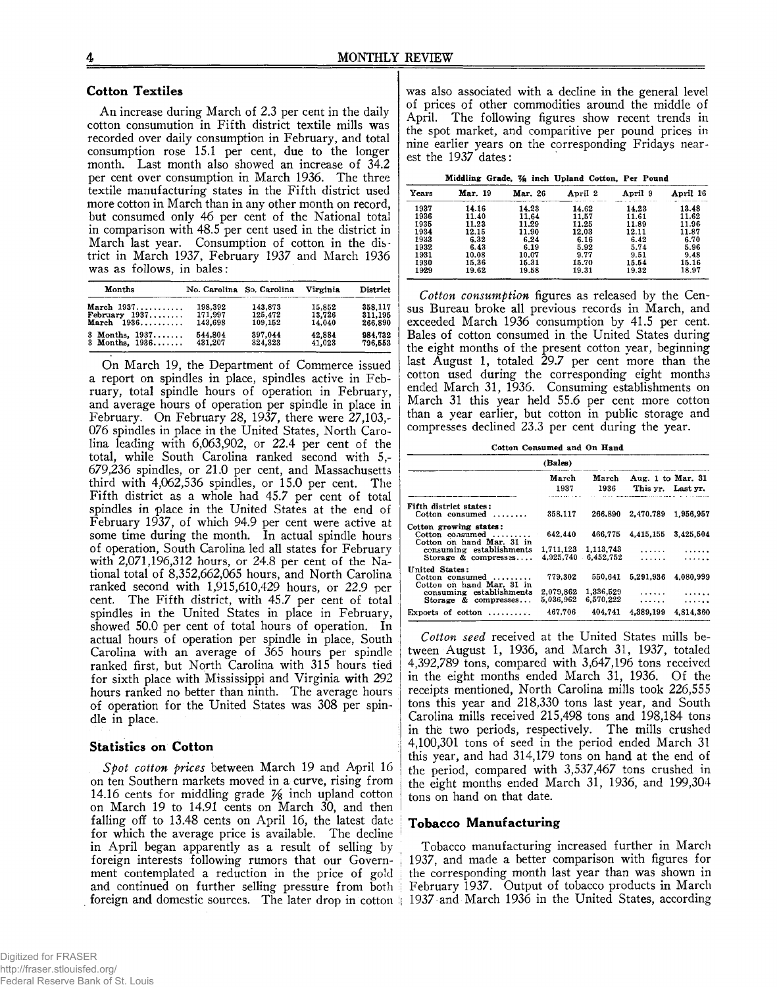#### **Cotton Textiles**

An increase during March of 2.3 per cent in the daily cotton consumution in Fifth district textile mills was recorded over daily consumption in February, and total consumption rose 15.1 per cent, due to the longer month. Last month also showed an increase of  $34.2$ per cent over consumption in March 1936. The three textile manufacturing states in the Fifth district used more cotton in March than in any other month on record, but consumed only 46 per cent of the National total in comparison with 48.5 per cent used in the district in March last year. Consumption of cotton in the district in March 1937, February 1937 and March 1936 was as follows, in bales:

| Months           | No. Carolina So. Carolina |         | Virginia | District |
|------------------|---------------------------|---------|----------|----------|
| March $1937$     | 198.392                   | 143,873 | 15.852   | 358,117  |
| February 1937    | 171.997                   | 125,472 | 13.726   | 311.195  |
| March $1936$     | 143.698                   | 109,152 | 14.040   | 266.890  |
| 3 Months, $1937$ | 544.804                   | 397.044 | 42,884   | 984.732  |
| 3 Months, $1936$ | 431.207                   | 324.323 | 41,023   | 796.553  |

On March 19, the Department of Commerce issued a report on spindles in place, spindles active in February, total spindle hours of operation in February, and average hours of operation per spindle in place in February. On February 28, 1937, there were 27,103,-076 spindles in place in the United States, North Carolina leading with 6,063,902, or 22.4 per cent of the total, while South Carolina ranked second with 5,- 679,236 spindles, or 21.0 per cent, and Massachusetts third with 4,062,536 spindles, or 15.0 per cent. The Fifth district as a whole had 45.7 per cent of total spindles in place in the United States at the end of February 1937, of which 94.9 per cent were active at some time during the month. In actual spindle hours of operation, South Carolina led all states for February with 2,071,196,312 hours, or 24.8 per cent of the National total of 8,352,662,065 hours, and North Carolina ranked second with 1,915,610,429 hours, or 22.9 per cent. The Fifth district, with 45.7 per cent of total cent. The Fifth district, with 45.7 per cent of total spindles in the United States in place in February, showed 50.0 per cent of total hours of operation. In actual hours of operation per spindle in place, South Carolina with an average of 365 hours per spindle ranked first, but North Carolina with 315 hours tied for sixth place with Mississippi and Virginia with 292 hours ranked no better than ninth. The average hours of operation for the United States was 308 per spindle in place.

#### **Statistics on Cotton**

*Spot cotton prices* between March 19 and April 16 on ten Southern markets moved in a curve, rising from 14.16 cents for middling grade  $\frac{1}{2}$  inch upland cotton on March 19 to 14,91 cents on March 30, and then falling off to 13.48 cents on April 16, the latest date for which the average price is available. The decline in April began apparently as a result of selling by foreign interests following rumors that our Government contemplated a reduction in the price of gold and continued on further selling pressure from both foreign and domestic sources. The later drop in cotton ! 1937 and March 1936 in the United States, according

was also associated with a decline in the general level of prices of other commodities around the middle of April. The following figures show recent trends in the spot market, and comparitive per pound prices in nine earlier years on the corresponding Fridays nearest the 1937 dates:

| Middling Grade, 1/8 inch Upland Cotton, Per Pound |  |  |  |  |
|---------------------------------------------------|--|--|--|--|
|                                                   |  |  |  |  |

| Years | Mar. 19 | Mar. 26 | April 2 | April 9 | April 16 |
|-------|---------|---------|---------|---------|----------|
| 1937  | 14.16   | 14.23   | 14.62   | 14.23   | 13.48    |
| 1936  | 11.40   | 11.64   | 11.57   | 11.61   | 11.62    |
| 1935  | 11.23   | 11.29   | 11.25   | 11.89   | 11.96    |
| 1934  | 12.15   | 11.90   | 12.03   | 12.11   | 11.87    |
| 1933  | 6.32    | 6.24    | 6.16    | 6.42    | 6.70     |
| 1932  | 6.43    | 6.19    | 5.92    | 5.74    | 5.96     |
| 1931  | 10.08   | 10.07   | 9.77    | 9.51    | 9.48     |
| 1930  | 15.36   | 15.31   | 15.70   | 15.54   | 15.16    |
| 1929  | 19.62   | 19.58   | 19.31   | 19.32   | 18.97    |

*Cotton consumption* figures as released by the Census Bureau broke all previous records in March, and exceeded March 1936 consumption by 41.5 per cent. Bales of cotton consumed in the United States during the eight months of the present cotton year, beginning last August 1, totaled 29.7 per cent more than the cotton used during the corresponding eight months ended March 31, 1936. Consuming establishments on March 31 this year held 55.6 per cent more cotton than a year earlier, but cotton in public storage and compresses declined 23.3 per cent during the year.

**Cotton Consumed and On Hand**

|                                                                                  | (Bales)                |                        |                                        |           |
|----------------------------------------------------------------------------------|------------------------|------------------------|----------------------------------------|-----------|
|                                                                                  | March<br>1937          | March<br>1936          | Aug. 1 to Mar. 31<br>This yr. Last yr. |           |
| Fifth district states:<br>Cotton consumed                                        | 358,117                | 266,890                | 2,470,789                              | 1.956.957 |
| Cotton growing states:<br>Cotton consumed $\ldots$<br>Cotton on hand Mar. 31 in  | 642.440                | 466.775                | 4,415,155                              | 3,425,504 |
| consuming establishments<br>Storage & compresses                                 | 1,711,123<br>4.925.740 | 1,113,743<br>6,452,752 | .<br>.                                 |           |
| United States:<br>$Cotton$ consumed $\ldots \ldots$<br>Cotton on hand Mar. 31 in | 779.302                | 550.641                | 5.291.936                              | 4.080.999 |
| consuming establishments<br>Storage & compresses                                 | 2.079.862<br>5.036.962 | 1,336,529<br>6.570.222 | .<br>.                                 | .         |
| Exports of cotton<br>. . <i>. .</i> .                                            | 467.706                | 404.741                | 4,389,199                              | 4,814,360 |

*Cotton seed* received at the United States mills between August 1, 1936, and March 31, 1937, totaled 4,392,789 tons, compared with 3,647,196 tons received in the eight months ended March 31, 1936. Of the receipts mentioned, North Carolina mills took 226,555 tons this year and 218,330 tons last year, and South Carolina mills received 215,498 tons and 198,184 tons in the two periods, respectively. The mills crushed 4,100,301 tons of seed in the period ended March 31 this year, and had 314,179 tons on hand at the end of the period, compared with 3,537,467 tons crushed in the eight months ended March 31, 1936, and 199,304 tons on hand on that date.

#### **Tobacco Manufacturing**

Tobacco manufacturing increased further in March 1937, and made a better comparison with figures for the corresponding month last year than was shown in February 1937. Output of tobacco products in March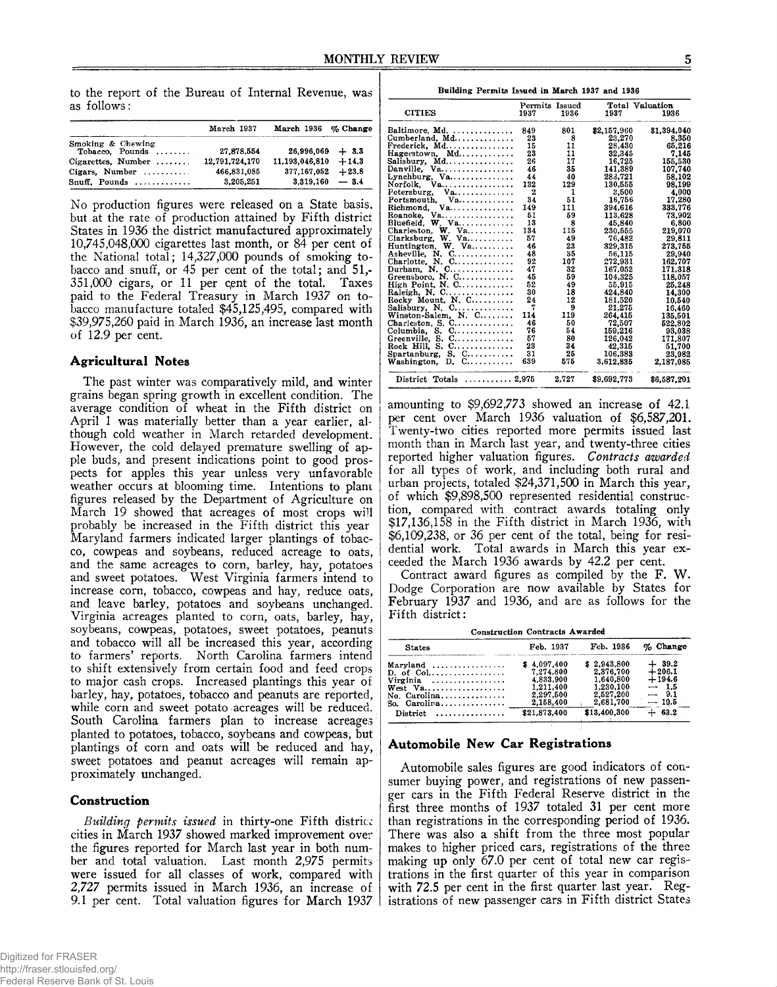to the report of the Bureau of Internal Revenue, was as follows:

|                                               | March 1937     | March 1936 % Change     |  |
|-----------------------------------------------|----------------|-------------------------|--|
| Smoking & Chewing<br>Tobacco. Pounds $\ldots$ | 27.878.554     | $26,996,069 + 3.3$      |  |
| Cigarettes, Number                            | 12.791.724.170 | $11.193.046.810 + 14.3$ |  |
| Cigars. Number $\dots\dots\dots$              | 466,831,085    | $377.167.052 + 23.8$    |  |
| Snuff. Pounds $\ldots$                        | 3.205.251      | $3.319.160 - 3.4$       |  |

No production figures were released on a State basis, but at the rate of production attained by Fifth district States in 1936 the district manufactured approximately 10.745.048.000 cigarettes last month, or 84 per cent of the National total; 14,327,000 pounds of smoking tobacco and snuff, or 45 per cent of the total; and 51,- 351.000 cigars, or 11 per qent of the total. Taxes paid to the Federal Treasury in March 1937 on tobacco manufacture totaled \$45,125,495, compared with \$39,975,260 paid in March 1936, an increase last month of 12.9 per cent.

#### **Agricultural Notes**

The past winter was comparatively mild, and winter grains began spring growth in excellent condition. The average condition of wheat in the Fifth district on April 1 was materially better than a year earlier, although cold weather in March retarded development. However, the cold delayed premature swelling of apple buds, and present indications point to good prospects for apples this year unless very unfavorable weather occurs at blooming time. Intentions to plant figures released by the Department of Agriculture on March 19 showed that acreages of most crops will probably be increased in the Fifth district this year Maryland farmers indicated larger plantings of tobacco, cowpeas and soybeans, reduced acreage to oats, and the same acreages to corn, barley, hay, potatoes and sweet potatoes. West Virginia farmers intend to increase corn, tobacco, cowpeas and hay, reduce oats, and leave barley, potatoes and soybeans unchanged. Virginia acreages planted to corn, oats, barley, hay, soybeans, cowpeas, potatoes, sweet potatoes, peanuts and tobacco will all be increased this year, according to farmers' reports. North Carolina farmers intend to shift extensively from certain food and feed crops to major cash crops. Increased plantings this year of barley, hay, potatoes, tobacco and peanuts are reported, while corn and sweet potato acreages will be reduced. South Carolina farmers plan to increase acreages planted to potatoes, tobacco, soybeans and cowpeas, but plantings of corn and bats will be reduced and hay, sweet potatoes and peanut acreages will remain approximately unchanged.

#### **Construction**

*Building permits issued* in thirty-one Fifth district cities in March 1937 showed marked improvement over; the figures reported for March last year in both number and total valuation. Last month 2,975 permits were issued for all classes of work, compared with 2,727 permits issued in March 1936, an increase of 9.1 per cent. Total valuation figures for March 1937

|                                                | Permits Issued |       | Total Valuation |             |  |
|------------------------------------------------|----------------|-------|-----------------|-------------|--|
| <b>CITIES</b>                                  | 1937           | 1936  | 1937            | 1936        |  |
| Baltimore, Md.                                 | 849            | 801   | \$2,157,960     | \$1,394,040 |  |
| Cumberland, Md                                 | 23             | 8     | 23,270          | 8.350       |  |
| Frederick, Md                                  | 15             | 11    | 28,430          | 65,216      |  |
| Hagerstown, Md                                 | 23             | 11    | 32.345          | 7.145       |  |
| Salisbury, Md                                  | 26             | 17    | 16,725          | 155,530     |  |
| Danville. Va                                   | 46             | 35    | 141.389         | 107,740     |  |
| Lynchburg, $Va$                                | 44             | 40    | 283,721         | 58.102      |  |
| $\mathbf{v}$ a<br>Norfolk.                     | 132            | 129   | 130,555         | 98.199      |  |
| $Va$<br>Petersburg,                            | $\mathbf 2$    | 1     | 3,500           | 4,000       |  |
|                                                | 34             | 51    | 16,756          | 17,280      |  |
|                                                | 149            | 111   | 394.616         | 333,776     |  |
| $Va$<br>Roanoke.                               | 51             | 59    | 113.628         | 73,902      |  |
| Bluefield, W. Va                               | 13             | 8     | 45,840          | 6.800       |  |
| Charleston, $W$ . Va                           | 134            | 115   | 230.555         | 219,070     |  |
| Clarksburg, W. Va                              | 57             | 49    | 76,482          | 29,811      |  |
| Huntington, W. Va                              | 46             | 23    | 329,315         | 273.755     |  |
| Asheville, N. C                                | 48             | 35    | 56,115          | 29,940      |  |
| Charlotte, N. C                                | 92             | 107   | 272.931         | 162.707     |  |
| Durham, N. C                                   | 47             | 32    | 167,052         | 171.318     |  |
| Greensboro, N. C                               | 45             | 59    | 104.325         | 118,057     |  |
| High Point, N. C                               | 52             | 49    | 55,915          | 25,248      |  |
| Raleigh, N. C                                  | 30             | 18    | 424,840         | 14.300      |  |
| Rocky Mount, N. C                              | 24             | 12    | 181.520         | 10.540      |  |
| Salisbury, $N.$ $C.$                           | 7              | 9     | 21.275          | 16.460      |  |
| Winston-Salem, N. C                            | 114            | 119   | 264,415         | 135,501     |  |
| Charleston, S. $C_1, \ldots, C_n, \ldots, C_n$ | 46             | 50    | 72,507          | 522,802     |  |
| Columbia, S. C                                 | 76             | 54    | 159,216         | 93.038      |  |
| Greenville, S. C                               | 57             | 80    | 126,042         | 171.807     |  |
| Rock Hill, S. C                                | 23             | 34    | 42,315          | 51,700      |  |
| Spartanburg, S. $C$                            | 31             | 25    | 106.383         | 23.982      |  |
| Washington, $D. C. \ldots \ldots$              | 639            | 575   | 3,612,835       | 2,187,085   |  |
| District Totals $\ldots \ldots \ldots 2.975$   |                | 2,727 | \$9,692,773     | \$6,587,201 |  |

amounting to \$9,692,773 showed an increase of 42.1 per cent over March 1936 valuation of \$6,587,201. Twenty-two cities reported more permits issued last month than in March last year, and twenty-three cities reported higher valuation figures. *Contracts awarded* for all types of work, and including both rural and urban projects, totaled \$24,371,500 in March this year, of which \$9,898,500 represented residential construction, compared with contract awards totaling only \$17,136,158 in the Fifth district in March 1936, with \$6,109,238, or 36 per cent of the total, being for residential work. Total awards in March this year exceeded the March 1936 awards by 42.2 per cent.

Contract award figures as compiled by the F. W. Dodge Corporation are now available by States for February 1937 and 1936, and are as follows for the Fifth district:

**Construction Contracts Awarded**

| <b>States</b>                                            | Feb. 1937                                                                    | Feb. 1936                                                                    | $\%$ Change                                                    |
|----------------------------------------------------------|------------------------------------------------------------------------------|------------------------------------------------------------------------------|----------------------------------------------------------------|
| Virginia<br>$No. Carolina \ldots \ldots$<br>So. Carolira | \$4.097.400<br>7.274.800<br>4.833.900<br>1.211.400<br>2.297.500<br>2.158.400 | \$2.943.800<br>2.376.700<br>1.640.800<br>1.230.100<br>2,527,200<br>2,681,700 | $+39.2$<br>$+206.1$<br>$+194.6$<br>$-1.5$<br>$-9.1$<br>$-19.5$ |
| $Distribt \ldots \ldots \ldots \ldots$                   | \$21,873,400                                                                 | \$13,400,300                                                                 | $+ 63.2$                                                       |

# **Automobile New Car Registrations**

Automobile sales figures are good indicators of consumer buying power, and registrations of new passenger cars in the Fifth Federal Reserve district in the first three months of 1937 totaled 31 per cent more than registrations in the corresponding period of 1936. There was also a shift from the three most popular makes to higher priced cars, registrations of the three making up only 67.0 per cent of total new car registrations in the first quarter of this year in comparison with 72.5 per cent in the first quarter last year. Registrations of new passenger cars in Fifth district States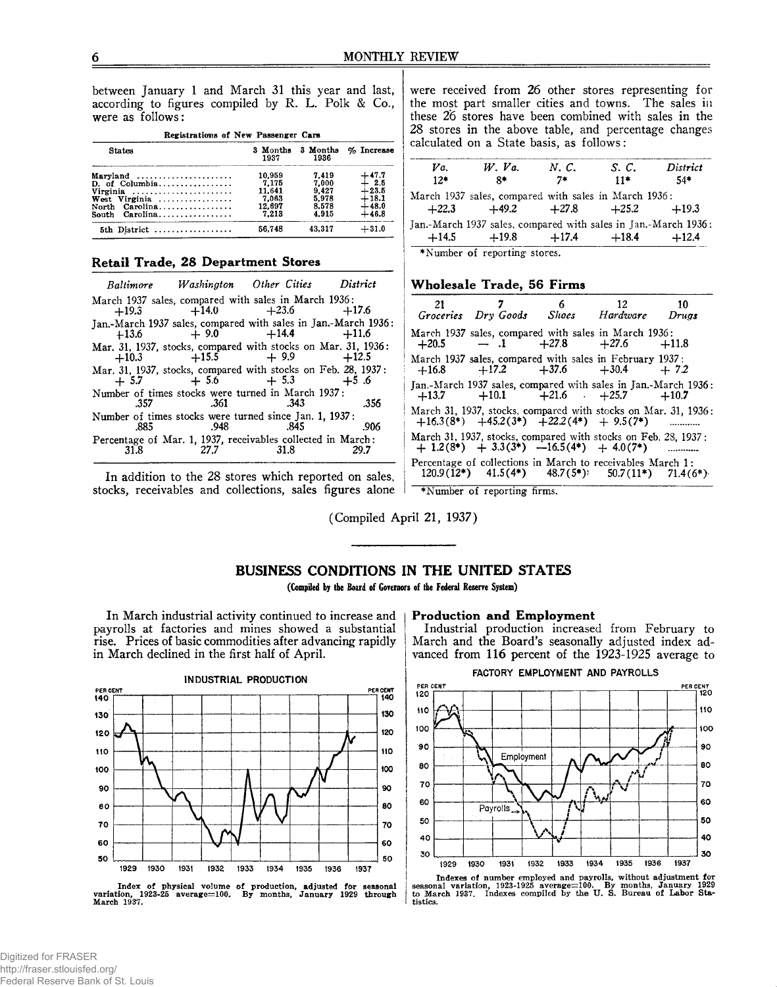between January 1 and March 31 this year and last, according to figures compiled by R. L. Polk & Co., were as follows:

| Registrations of New Passenger Cars |                  |                  |            |
|-------------------------------------|------------------|------------------|------------|
| <b>States</b>                       | 3 Months<br>1937 | 3 Months<br>1936 | % Increase |
| Marvland                            | 10.959           | 7.419            | +47.7      |
| D. of Columbia                      | 7.175            | 7.000            | $+2.5$     |
| Virginia                            | 11.641           | 9.427            | $+23.5$    |
| West Virginia                       | 7.063            | 5.978            | $+18.1$    |
|                                     | 12,697           | 8.578            | $+48.0$    |
|                                     | 7.213            | 4.915            | $+46.8$    |
| 5th District                        | 56.748           | 43.317           | $+31.0$    |

# **Retail Trade, 28 Department Stores**

|      |                      | Baltimore Washington Other Cities District                                                       |       |
|------|----------------------|--------------------------------------------------------------------------------------------------|-------|
|      |                      | March 1937 sales, compared with sales in March 1936:                                             |       |
|      |                      | $+19.3 +14.0 +23.6 +17.6$                                                                        |       |
|      |                      | Jan.-March 1937 sales, compared with sales in Jan.-March 1936:<br>$+13.6$ $+9.0$ $+14.4$ $+11.6$ |       |
|      |                      |                                                                                                  |       |
|      |                      | Mar. 31, 1937, stocks, compared with stocks on Mar. 31, 1936:<br>$+10.3$ $+15.5$ $+9.9$ $+12.5$  |       |
|      |                      | Mar. 31, 1937, stocks, compared with stocks on Feb. 28, 1937:<br>$+ 5.7 + 5.6 + 5.3 + 5.6$       |       |
|      |                      | Number of times stocks were turned in March 1937:                                                |       |
|      | $.357$ $.361$ $.343$ |                                                                                                  | - 356 |
|      |                      | Number of times stocks were turned since Jan. 1, 1937:                                           |       |
|      |                      | .885 .948 .845                                                                                   | .906  |
|      |                      | Percentage of Mar. 1, 1937, receivables collected in March:                                      |       |
| 31.8 |                      | 31.8                                                                                             |       |

In addition to the 28 stores which reported on sales, stocks, receivables and collections, sales figures alone were received from 26 other stores representing for the most part smaller cities and towns. The sales in these 26 stores have been combined with sales in the 28 stores in the above table, and percentage changes calculated on a State basis, as follows:

| Va.     | $W.$ $Va.$                                                     | N.C.    | S. C.   | District |
|---------|----------------------------------------------------------------|---------|---------|----------|
| $12*$   | R*                                                             | 7*      | $11*$   | 54*      |
|         | March 1937 sales, compared with sales in March 1936:           |         |         |          |
| $+22.3$ | $+49.2$                                                        | $+27.8$ | $+25.2$ | $+19.3$  |
|         | Jan.-March 1937 sales, compared with sales in Jan.-March 1936: |         |         |          |
| $+14.5$ | $+19.8$                                                        | $+17.4$ | $+18.4$ | $+12.4$  |
|         | *Number of reporting stores                                    |         |         |          |

♦Number of reporting stores.

#### **Wholesale Trade, 56 Firms**

|         | Groceries Dry Goods Shoes Hardware Drugs                                                                                             | 7 6 12 | 10 |
|---------|--------------------------------------------------------------------------------------------------------------------------------------|--------|----|
| $+20.5$ | March 1937 sales, compared with sales in March 1936:<br>$-1$ $+27.8$ $+27.6$ $+11.8$                                                 |        |    |
|         | March 1937 sales, compared with sales in February 1937:<br>$+16.8$ $+17.2$ $+37.6$ $+30.4$ $+7.2$                                    |        |    |
|         | Jan.-March 1937 sales, compared with sales in Jan.-March 1936:<br>$+13.7$ $+10.1$ $+21.6$ $+25.7$ $+10.7$                            |        |    |
|         | March 31, 1937, stocks, compared with stocks on Mar, 31, 1936:<br>$+16.3(8^*)$ $+45.2(3^*)$ $+22.2(4^*)$ $+ 9.5(7^*)$                |        |    |
|         | March 31, 1937, stocks, compared with stocks on Feb. 28, 1937;<br>$+ 1.2(8^*) + 3.3(3^*) -16.5(4^*) + 4.0(7^*)$                      |        |    |
|         | Percentage of collections in March to receivables March 1:<br>$120.9(\tilde{1}2^*)$ $41.5(4^*)$ $48.7(5^*)$ $50.7(11^*)$ $71.4(6^*)$ |        |    |
|         | *Number of reporting firms.                                                                                                          |        |    |

(Compiled April 21, 1937)

# **BUSINESS CONDITIONS IN THE UNITED STATES**

**(Compiled by the Board of Governors of the Federal Reserve System)**

In March industrial activity continued to increase and payrolls at factories and mines showed a substantial rise. Prices of basic commodities after advancing rapidly in March declined in the first half of April.

#### **Production and Employment**

Industrial production increased from February to March and the Board's seasonally adjusted index advanced from 116 percent of the 1923-1925 average to







**Indexes of number employed and payrolls, without adjustment far seasonal variation, 1923-1925 average=100. By months, January 1929 to March 1937. Indexes compiled by the U. S. Bureau of Labor Statistics.**